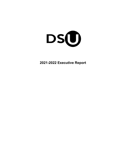

**2021-2022 Executive Report**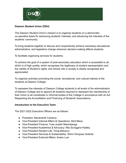

# **Dawson Student Union (DSU)**

The Dawson Student Union's mission is to organize students on a democratic, co-operative basis for advancing students' interests, and advancing the interests of the students' community;

To bring students together to discuss and cooperatively achieve necessary educational, administrative, and legislative change wherever decision-making affects students;

To facilitate organizing services for students;

To achieve the goal of a system of post-secondary education which is accessible to all, which is of high quality, which recognises the legitimacy of student representation and the validity of Student's rights; and whose role in society is clearly recognised and appreciated;

To organize activities promoting the social, recreational, and cultural interest of the students at Dawson College;

To represent the interests of Dawson College students to all levels of the administration of Dawson College and to appoint all students required to represent the membership of their Union to all constituted or informal bodies of the College in accordance with an Act Respecting the Accreditation and Financing of Students' Associations.

# **Introduction to the Executive Team**

The 2021-2022 Executive Officers are as follows:

- President: Alexandrah Cardona
- Vice-President Internal Affairs & Operations: Abril Meza
- Vice-President Finance: Yves-Jusslin Maniratanga
- Vice-President Academics & Advocacy: Mia Scroggins-Hadley
- Vice-President Student Life: Yimaj Baharun
- Vice-President Services & Sustainability: Shirin Hinojosa Violante
- Vice-President External Affairs: Arwen Low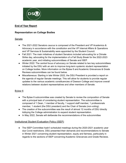

# **End of Year Report**

# **Representation on College Bodies**

## **Senate**

- The 2021-2022 Senators caucus is composed of the President and VP Academics & Advocacy in accordance with the constitution and the VP Internal Affairs & Operations and VP Services & Sustainability were appointed by the Student Council.
- Fall 2021: The main initiatives of student Senators included advocating for a Climate Strike day, advocating for the implementation of a Fall Study Break for the 2022-2023 academic year, and initiating subcommittees of Senate and ISEP.
- Winter 2022: The central focus of advocacy on Senate related to two key subcommittees initiated by the DSU with an aim to improve long-term systemic student representation on College bodies. More information on the Bylaw 6 and Academic Grievances & Grade Reviews subcommittees can be found below.
- Miscellaneous: Starting in late Winter 2022, the DSU President is provided a report on the agenda of regular Senate meetings. This will allow for students to provide regular updates to the various academic constituencies of Dawson College and improve overall relations between student representatives and other members of Senate.

# Bylaw 6

- The Bylaw 6 subcommittee was created by Senate to review the composition of Senate with a principal task of considering student representation. The subcommittee is composed of 1 Dean, 1 member of faculty, 1 support staff member, 1 professionals member, 1 student (the DSU president) and the Chair of Senate (non-voting).
- The creation of the subcommittee was the result of almost 12 months of DSU directly lobbying the College administration to expand student representation.
- In May 2022, Senate will deliberate the recommendations of the subcommittee

# **Institutional Student Evaluation Policy (ISEP)**

● The ISEP Committee hadn't scheduled meetings during the 2020-2021 academic year due Covid restrictions. DSU presented their demands and recommendations to Senate in Winter 2021 concerning student representation, equity and fairness, particularly in regards to the sections of ISEP concerning Academic Grievances and Grade Reviews.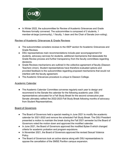

● In Winter 2022, the subcommittee for Review of Academic Grievances and Grade Reviews formally convened. The subcommittee is composed of 2 students, 1 member-at-large (community), 1 faculty, 1 dean and the Chair of Senate (non-voting).

### Review of Academic Grievances & Grade Reviews

- The subcommittee considers reviews to the ISEP section for Academic Grievances and Grade Reviews.
- DSU representatives main recommendations include peer accompagnement for students, advocacy services for students, additional mechanisms that deescalate the Grade Review process and further transparency from the faculty committees regarding decisions.
- Grade Reviews mechanisms are outlined in the collective agreement of faculty (Dawson Teachers Union). Student representatives have therefore evaluated options and provided feedback to the subcommittee regarding proposed mechanisms that would not interfere with the faculty agreement.
- The Academic Grievances procedure is unique to Dawson College.

### Academic Calendar

• The Academic Calendar Committee convenes regularly each year to design and recommend to the Senate the calendar for the following academic year. DSU representatives advocated for a Fall Study Break for the second consecutive year. Senate ultimately ratified the 2022-2023 Fall Study Break following months of advocacy from Student Representatives.

# Board of Governors

- The Board of Governors held a special meeting in June 2021 to modify the academic calendar for 2021-2022 and remove the scheduled Fall Study Break. The DSU President presented a motion to maintain the break during the Fall 2021 semester but the Board of Governors voted the motion down and approved the modified calendar.
- In June 2021, the Board of Governors approved the modified Bylaw 8 which changed criteria for academic probation and program expulsions.
- In November 2021, the Board of Governors approved the revised Sexual Violence Policy.
- The Board of Governors took an active stance along with DSU representatives to oppose the cancellation of the SMSE Pavillon campus expansion.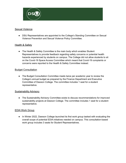

### Sexual Violence

● DSU Representatives are appointed to the College's Standing Committee on Sexual Violence Prevention and Sexual Violence Policy Committee.

### Health & Safety

• The Health & Safety Committee is the main body which enables Student Representatives to provide feedback regarding safety concerns or potential health hazards experienced by students on campus. The College did not allow students to sit on the Covid-19 Space Access Committee which meant that Covid-19 complaints or concerns were reported to the Health & Safety Committee instead.

### Budget Consultation

• The Budget Consultation Committee meets twice per academic year to review the College's annual budget as prepared by the Finance Department and Executive Committee of Dawson College. The committee includes 1 seat for a student representative.

### Sustainability Advisory

• The Sustainability Advisory Committee exists to discuss recommendations for improved sustainability projects at Dawson College. The committee includes 1 seat for a student representative.

### EDIA Work Group

● In Winter 2022, Dawson College launched its first work group tasked with evaluating the overall scope of potential EDIA initiatives needed on campus. This consultation-based work group includes 3 seats for Student Representatives.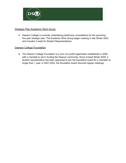

# Strategic Plan Academic Work Group

● Dawson College is currently undertaking preliminary consultations for the upcoming five-year strategic plan. The Academic Work Group began meeting in late Winter 2022 and includes 2 seats for Student Representatives.

## Dawson College Foundation

● The Dawson College Foundation is a civic non-profit organization established in 2005 with a mandate to aid in funding the Dawson community. Since at least Winter 2020, a student representative has been appointed to join the foundation board for a mandate no longer than 1 year. In 2021-2022, the foundation board resumed regular meetings.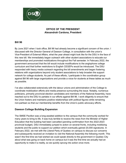

# **OFFICE OF THE PRESIDENT Alexandrah Cardona, President**

### **Bill 96**

By June 2021 when I took office, Bill 96 had already become a significant concern of the union. I discussed with the Director General of Dawson College, in consultation with the union's Vice-President of External Affairs, what the year ahead might look like for the DSU in the face of this new bill. We immediately began outreach with other student associations to educate our memberships and promoted mobilizations throughout the Fall semester. In February 2022, the government announced that the bill would include modifications to the anglophone college curriculum and that further restrictions to English CEGEPs would be introduced. The DSU responded with heavy media outreach regarding the bill amendments and began fostering relations with organizations beyond only student associations to help broaden the support network for college students. As part of these efforts, I participate in the coordination group against Bill 96 with large organizations and provide a voice for students at these tables as much as possible.

I've also collaborated extensively with the labour unions and administration of the College to coordinate mobilization efforts and media presence surrounding the issue. Notably, numerous politicians, primarily provincial election candidates and members of the National Assembly, have reached out to the DSU to partake in our efforts against Bill 96. I work diligently to ensure that the Union fosters and maintains positive relationships with political figures while remaining non-partisan so that our membership benefits from the Union's public advocacy efforts.

# **Dawson College Building Expansion**

The SMSE Pavillon was a long-awaited addition to the campus that the community worked for many years to bring to life. It was truly terrible to receive the news from the Minister of Higher Education that the building had been cancelled (pending confirmation from the 2022-2023 provincial budget). DSU immediately jumped to action on several fronts, including mobilizing students and the public to support our petition which eventually gained 20,000 signatures. In February 2022, we met with the Liberal Party of Quebec on campus to discuss our concerns and subsequently received an invitation to visit the National Assembly the following month. This wasn't the first time we had wished we could speak directly to the government in Quebec City about what was going on back home on campus but it was the first time we actually had an opportunity to make it a reality, so we quickly sprung into action once more.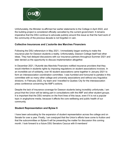

Unfortunately, the Minister re-affirmed her earlier statements to the College in April 2022, and the building project is considered officially cancelled by the current government. It remains imperative that the DSU continue to advocate publicly around this issue so that the hard work of the community of the previous decade is not forgotten in vain.

### **Collective Insurances and L'autorite des Marches Financiers**

Following the DSU referendum in May 2021, I immediately began working to make the insurance plan for Dawson students a reality. Unfortunately, Dawson College itself had other ideas. They had delayed discussions with our insurance partners throughout Summer 2021 and later denied us the opportunity to discuss implementation altogether.

In December 2021, l'Autorité des Marchés Financiers notified insurance providers that they would interfere in students rights by imposing regulations on student associations invoices. In an incredible act of solidarity, over 40 student associations came together in January 2021 to form an interassociation coordination committee. I was humbled and honoured to partake in this committee with so many other college and university associations and without any linguistics divisions. In February 2022, my team and I travelled to Quebec City for the interassocation press conference concerning the AMF's actions.

Despite the lack of insurance coverage for Dawson students being incredibly unfortunate, I am proud that the Union will be taking part in consultations with the AMF and other student groups. It is important that the DSU remains on the front lines of this issue, even if it is not a popular topic in anglophone media, because it affects the core wellbeing and public health of our community.

### **Student Representation and Bylaw 6**

I have been advocating for the expansion of student representation across the college and on Senate for over a year. Finally, I am overjoyed that the Union's efforts have come to fruition and that the subcommittee on Bylaw 6 will be presenting the matter for discussion this coming month. I look forward to a future DSU Senators Caucus with 8 members!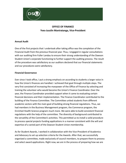

# **OFFICE OF FINANCE Yves-Jusslin Maniratanga, Vice-President**

### **Annual Audit**

One of the first projects that I undertook after taking office was the completion of the Financial Audit from the previous financial year. Thus, I engaged in regular consultations with our auditing firm Fuller Landau to ensure their strong understanding of the Dawson Student Union's corporate functioning to further support the auditing process. The result of the procedure was satisfactory as our auditors declared that our financial statements and our procedures were satisfactory.

### **Financial Governance**

Ever since I took office, I put a strong emphasis on according to students a larger voice in how the Union's finances are handled. I achieved that goal through multiple steps. The very first consisted of increasing the manpower of the Office of Finance by selecting and training the volunteer who would become the Union's Finance Coordinator. Over the year, the Finance Coordinator provided support when it came to evaluating certain financial decisions and their implementation. The Finance Coordinator contributed to the building of the Finance Committee. The Committee united students from different academic sectors with the main goal of building strong financial regulations. Thus, we had members in the Business Management program, the Commerce program, the Enriched Health Science program much more. We were able to build consistent financial regulations with the help of the committee. The diversity of background contributed to the versatility of the Committee's activities. This permitted us to install a solid procedure to process special projects funding applications in a manner consistent with the will and expertise of a varied part of the Dawson Student Union membership.

As for Student Awards, I worked in collaboration with the Vice-President of Academics and Advocacy to set up selection criteria for the Awards. After that, we successfully organized a committee, made exclusively of council members, to prepare them to process and select award applications. Right now, we are in the process of preparing how we are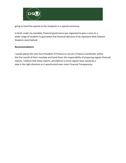

going to hand the awards to the recipients in a special ceremony.

In brief, under my mandate, financial governance was organized to give a voice to a wider range of students to guarantee that financial decisions truly represent what Dawson Students stand behind.

### **Recommendations**

I would advise the next Vice-President of Finance to recruit a Finance Coordinator within the first month of their mandate and hand them the responsibility of preparing regular financial reports. I believe that those reports, provided on a more regular basis would be a step in the right direction as it would entail even more Financial Transparency.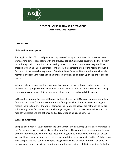

# **OFFICE OF INTERNAL AFFAIRS & OPERATIONS Abril Meza, Vice-President**

### **OPERATIONS**

### **Clubs and Services Spaces**

Starting from Fall 2021, I had presented my ideas of having a communal club space as there were several different concerns with the previous set up. Clubs were designated either a room or cubicle space in rooms. I proposed having three communal rooms where they would be shared between all clubs on rotation, so they could maximize the use of the rooms and would future proof the inevitable expansion of student life at Dawson. After consultation with club members and receiving feedback, I had finalized my plans and a clean up of the entire spaces began.

Volunteers helped clear out the space and things were thrown out, recycled or donated to different charity organizations. I had made a floor plans on how the rooms would look, having certain rooms encompass DSU services and other rooms be dedicated club spaces.

In December, Student Services at Dawson College offered the DSU a great opportunity to help fund the club space furniture. I sent them the floor plans I had done and we would begin to receive the furniture over the winter semester . Currently the spaces are half open as we are still awaiting more furniture to arrive. This huge project could not have occurred without the help of volunteers and the patience and collaboration of clubs and services.

#### **Events and Activities**

Being co-chair with VP Student Life in the DSU Campus Events & amp; Operations Committee in the Fall semester was an extremely exciting experience. The committee was composed by very enthusiastic volunteers who provided ideas and insights into what events to bring to Dawson. We would meet weekly, sometimes twice a week to bring these events to fruition. Collaboration with Campus Life and Leadership helped me gain knowledge on what steps must be done to throw a good event, especially regarding work orders and being realistic in planning. For Fall, we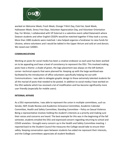

worked on Welcome Week, Frosh Week, Orange T-Shirt Day, Club Fair, Geek Week, Halloween Week, Stress Free Days, Volunteer Appreciation Day, and Volunteer Orientation Day. For Winter, I collaborated with VP External in a valentine event called Datamatch where Dawson students and other English CEGEPs would be matched together if they took a survey. More than 1000 students were matched. I also helped organize a fundraiser to raise funds for Ukraine, where volunteers and I would be tabled in the Upper Atrium and sold art and donuts. We raised over \$2000+.

#### **COMMUNICATIONS**

Working on posts for social media has been a creative endeavor as each post has been worked on to be appealing and have a level of consistency to represent the DSU. This involved making posts have a theme: a shade of green, the logo placement was always on the left bottom corner--technical aspects that were planned for. Keeping up with the large workload was facilitated by the introduction of office volunteers specifically helping me out with Communications. I was able to delegate graphic design to these extremely talented students for all the myriad of posts that needed to be posted. In addition to social media, I have worked on the DSU website which has received a lot of modification and has become significantly more user friendly (especially for mobile users).

#### **INTERNAL AFFAIRS**

As a DSU representative, I was able to represent the union in multiple committees, such as: Senate, ISEP, Grade Review and Academics Grievance Committee, Academic Calendar Committee, Health and Safety Committee, Standing Committee – Policy on Sexual Violence. Being a representative involves holding the student's interests as a priority and making sure their voices and concerns are heard. The best example for this was in the beginning of the fall semester, students emailed the DSU and expressed concern regarding returning to school and COVID anxieties. I brought every concern up in the Health and Safety Committee meeting. I reported back to the Student Council the measures the College would take to ensure their safety. Keeping conversation open between students has aided me represent their interests, and the College committees appreciate all student feedback.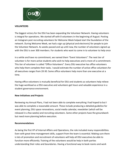

### **VOLUNTEERS**

The biggest victory for the DSU has been expanding the Volunteer Network. Having volunteers is integral for operations. We started off with 0 volunteers in the beginning of August. Posting an Instagram post recruiting volunteers for Welcome Week helped start the foundation of the network. During Welcome Week, we had a sign up (physical and electronic) for people to join the Volunteer Network. As weeks passed and up until now, the number of volunteers signed up with the DSU is over 300 members. For students who want to come in to volunteer to help once

in a while and have no commitment, we named them "Event Volunteers". The next tier of volunteer is for more active students who wish to help executives and is more of a commitment. This tier of volunteer is called "Office Volunteers". Every DSU executive has office volunteers who help them complete their tasks. I would estimate the number of active office volunteers for all executives ranges from 20-30. Some office volunteers help more than one executive at a time.

Having office volunteers is mutually beneficial for DSU and students as volunteers help relieve the huge workload as a DSU executive and volunteers get hours and valuable experience in a student governance environment.

### **New Initiatives and Projects**

Reviewing my Annual Plans, I had not been able to complete everything I had hoped to but I was able to complete a reasonable amount. These include producing a detailed guideline for event planning, DSU space renovations, social media calendar, newsletter (which will be released in a few weeks) and recruiting volunteers. Some other projects have the groundwork but need more planning before execution.

### **Recommendations**

As being the first VP of Internal Affairs and Operations, the role included many responsibilities. Even with great time management skills, support from the team is essential. Making sure there is lots of promotion and recruitment of volunteers will help all DSU executives be able to function more efficiently. Training of the volunteers would be help in both parties understanding their roles and boundaries. Having a functional way to book rooms and work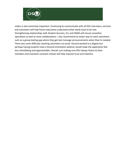

orders is also extremely important. Continuing to communicate with all DSU club execs, services and volunteers will help future executives understand what needs have to be met. Strengthening relationships with Student Services, CLL and FAMA will ensure smoother operations as well as more collaborations. I also recommend an easier way to reach volunteers such as a group texting app where they get text message announcements when they're needed. There was some difficulty reaching volunteers via email. Discord worked to a degree but perhaps having students have a Discord orientation webinar would make the application feel less intimidating and approachable. Overall: just making sure DSU always listens to their members and maintains constant contact will help improve trust and relations.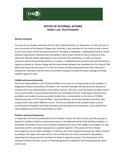

# **OFFICE OF EXTERNAL AFFAIRS Arwen Low, Vice-President**

#### **Election Initiatives**

The start of my mandate coincided with the 2021 Federal Elections. As September 15, 2021 was the 15 year anniversary of the Dawson College mass shooting, it was important for the Union to take a stance on the issue of gun control during the elections. Throughout September, I collaborated with gun control advocacy organization PolySeSouvient and spoke in favor of gun control at a press conference they organized. National media organizations\* were present at the conference. In order to increase awareness about the upcoming elections on campus, I collaborated with teachers and administration to organize a debate on climate change and the environment between the candidates for the riding of Ville Marie-Sud-Ouest-Iles-des-Soeurs. For both the Federal and Municipal (November 2021) Elections, I worked with volunteers and the Events Committee to prepare voting information packages and help students register to vote.

#### **CASAQ and General Assembly**

One of my responsibilities as VP of External Affairs is to serve as a voting member at the Coalition of Anglophone Student Associations of Quebec. Our monthly meetings and work primarily focused on sharing events and collaborating on joint political stances. This year, it was the Dawson Student Union's turn to host CASAQ's annual General Assembly. The GA allotted time for networking, speeches from presidents and student insurance provider Student Care, a conversation on the future of CASAQ, following last year's VP of External Affairs' recommendations, discussions between executives who occupy similar roles within different unions. The GA was attended by 60 student leaders, and we received positive feedback from both attendees and the Dawson administration, as this was the first intercollegiate event the DSU had hosted in a while.

#### **Petitions and Social Awareness**

In September, the Union worked with the First People's Center, the Peace Center and other groups at Dawson to mobilize students to attend the march on the National Day for Truth and Reconciliation. In November, the Student Union and a coalition of departments across the college came together to raise awareness on Bill 2 and collect signatures on a petition against it. The success of this initiative encouraged the use of similar strategies. In February, the Union collected donations for relief in Ukraine by tabling in the Upper and Lower Atrium. Also in February, the Union launched its own petition requesting that the government reinstate the Dawson expansion project. The involvement of the volunteer network has been crucial in collecting signatures on petitions and raising awareness about social issues.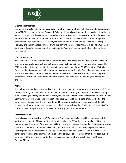

#### **External Partnerships**

I co-led an intercollegiate donation campaign with the President of LaSalle College's student association, the AGEL. The student unions of Dawson, LaSalle, Marianopolis and Vanier joined to collect donations to various community aid organizations during December. At Dawson, there was a joint effort between the Green Earth Club to collect winter coats for Resilience Montreal as well as food, clothes and personal products for Chez Doris (these last three types of donations were doubled by the student union). In February, the English Cegeps partnered with the Harvard-based service DataMatch to offer students a light-hearted way to meet one another leading up to Valentine's day, an event which 1468 students participated in.

#### **Dawson Expansion**

Near the end of January, the Minister of Education decided to cancel the planned Dawson expansion project, which would have rectified a 20 year space deficit and had been in the works for 7 years. The DSU started a petition to reinstate this project, and we collected almost 20 000 signatures! With help from our administration, the Quebec Community Groups Network, and a few politicians, we visited the National Assembly in Quebec City when the petition was filed. The President and I spoke at a press conference after the question period ended to defend the necessity of maintaining the expansion project.

#### **Bill 96**

Throughout my mandate, I have worked with Union executives and multiple groups to address Bill 96. At the start of the year, I worked with CASAQ to write an open letter against Bill 96. As the Bill re-emerged in public dialogue nearing the time of the vote, the Dawson Student Union collaborated with the Quebec Community Groups Network and organizations across Quebec to plan a large protest, scheduled to commence at Dawson and that will be attended by groups impacted by various aspects of the Bill. Inspired by John Abbott College's planned rally, the DSU, as well as other English and bilingual CEGEPs, hosted twin rallies against the bill on May 5th in anticipation of an earlier vote.

#### **Recommendations**

Firstly, I recommend that the next VP of External Affairs start up the Socio-political committee at the start of their mandate. This committee will be able to help the VP address any social or political issues that arise over the course of the year, and will thus be able to increase the speed of the Union's response time to such issues. A committee tasked with supporting the Union's responses to potential Bills or unanticipated socio-political events that impact the Dawson student body will also allow the VP to continue to focus on their planned initiatives. In this sense, I also recommend that the VP seek out office volunteers at the start of the year to delegate tasks and increase the productivity of the Office of External Affairs.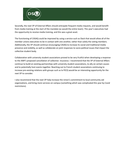

Secondly, the next VP of External Affairs should anticipate frequent media requests, and would benefit from media training at the start of the mandate (as would the entire team). This year's executives had the opportunity to receive media training, and this was a great asset.

The functioning of CASAQ could be improved by using a service such as Slack that would allow all of the member unions executives to be in contact with one another, rather than solely the voting members. Additionally, the VP should continue encouraging CASAQ to increase its social and traditional media presence and visibility, as well as collaborate on joint responses to socio-political issues that impact the collective student body.

Collaboration with university student associations proved to be very fruitful when developing a response to the AMF's proposed cancellation of collective insurance. I recommend that the VP of External Affairs continue to build on existing partnerships with university student associations, to ally on certain causes and to potentially host events together. Reaching out to French student associations continuing to increase pre-existing relations with groups such as la FECQ would be an interesting opportunity for the next VP to consider.

I also recommend that the next VP help increase the Union's commitment to local community aid organizations, and bring more services on campus (something which was complicated this year by Covid restrictions).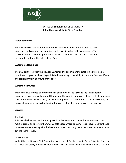

# **OFFICE OF SERVICES & SUSTAINABILITY Shirin Hinojosa Violante, Vice-President**

### **Water bottle ban**

This year the DSU collaborated with the Sustainability department in order to raise awareness and continue the standing ban for plastic water bottles on campus. The Dawson Student Union bought more than 2000 bottles this year to sell to students through the water bottle sale held on April.

### **Sustainable Happiness**

The DSU partnered with the Dawson Sustainability department to establish a Sustainable Happiness program at the College. This is done through book club, SH journals, 24hr certificates and facilitator training of two of the execs.

### **Sustainable Dawson**

This year I have worked to improve the liaison between the DSU and the sustainability department. We have collaborated throughout the year in various events and activities such as earth week, the expansion plan, Sustainable Happiness, the water bottle ban , workshops, and book club among others. A final end of the year sustainable prom was also put in place.

### **Services**

### The hive :

This year the hive's expansion took place in order to accomodate and broaden its services to more students and provide them with a safe space where to pump, relax, have important calls or a one-on-one meeting with the hive's employees. Not only the hive's space became broader but the team as well.

### Dawson Dinin' :

While this year Dawson Dinin' wasn't active as I would've liked due to Covid-19 restrictions, the last week of classes, the DSU collaborated with CLL in order to create an event to give out free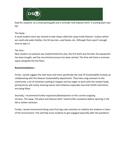

food for students. As a small parting gift and a reminder that Dawson Dinin' is coming back next fall.

## The Swap :

A small student store was started to take shape called the swap inside Dawson. A place where we could sale water bottles, the SH journals, used books, etc. Although there wasn't enough time to open it.

### The Vine :

New student run podcast was implemented this year, the first team was formed, the equipment has been bought, and the recruitment process has been started. The Vine will share a common space alongside the the Plant.

### **Recommendations :**

Firstly, I would suggest the next team and more specifically the next VP Sustainability to keep up collaborating with the Dawson Sustainability department. They have a big outreach to the community, a lot of initiatives waiting to happen and are eager to work with the student body, joining forces will create amazing events and initiatives especially now that COVID restrictions are being lifted.

Secondly, I recommend further expansion/development on the current outgoing services. The swap, The plant and Dawson dinin' need further assistance before opening in the fall or winter semester.

Finally, I would recommend doing more free big scale activities to mobilize the students in favor of the environment. This will help more students to get engaged especially after the pandemic.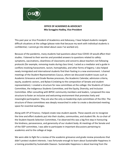

# **OFFICE OF ACADEMICS & ADVOCACY Mia Scroggins-Hadley, Vice-President**

This past year as Vice President of Academics and Advocacy, I have helped students navigate difficult situations at the college (please note that because my work with individual students is confidential, I cannot go into detail about cases I've worked on).

Because of the pandemic, many students had questions about how COVID-19 would affect their studies. I listened to their worries and provided answers to questions related to safety: symptoms, vaccinations, cleanliness of classrooms and concerns about teachers not following protocols (for example, removing masks during class time). I acted as a mediator and a guide in conflicts involving harassment, racism, homophobia, and other forms of bigotry. I also helped newly immigrated and international students find their footing in a new environment. I chaired meetings of the Student Representatives Caucus, where we discussed student issues such as Academic Grievance and Grade Review processes, the Academic Calendar, admission criteria, equity, academic sectors, and Bylaw 6 (relating to the composition of Senate and student representation). I created a structure for new committees at the college: the Students of Colour Committee, the Indigenous Students Committee, and the Equity, Diversity, and Inclusion Committee. After consulting with BIPOC community members and leaders, I proposed this new structure to foster an inclusive and welcoming environment that promotes lively and meaningful participation. They are also the only co-leadership style committees of the DSU. The structure of these committees was deeply researched in order to create a decolonized meeting space for essential exchanges.

Along with VP of Finance, I helped create new student awards. These awards are to recognize the time and effort students put into their studies, communities, and student life. As co-chair of the Student Awards Selection Committee, I've observed this was a big first step in honouring the kindness, perseverance, and generosity of our student body. At meetings of the Senate and of the ISEP committee, I was able to participate in important discussions pertaining to academics and to the college at large.

We were able to fight for a review of the academic grievance and grade review procedures that didn't protect student interests. I was fortunate enough to learn about Sustainable Happiness in a training provided by Sustainable Dawson. Sustainable Happiness is about learning from the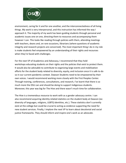

environment, caring for it and for one another, and the interconnectedness of all living things. My work is very interpersonal, and this instruction has informed the way I approach it. The majority of my work has been guiding students through personal and academic issues one on one, directing them to resources and accompanying them however I can. This looks like reading through policies with them, attending meetings with teachers, deans and, on rare occasions, librarians (where questions of academic integrity and research projects are concerned). The most important thing I do in my role is make students feel empowered by an understanding of their rights and recourses when they're faced with challenges.

For the next VP of Academics and Advocacy, I recommend that they hold workshops educating students on their rights and the policies that exist to protect them. It would also be advisable to contribute to organizing large events and mobilization efforts for the student body related to diversity, equity, and inclusion once it is safe to do so in our current pandemic context. Dawson Students need to be empowered by their own voices. I would recommend working more closely with the First Peoples Center. Through training, conferences, consultations, and research, I've learnt that there is so much more the DSU can and should be doing to support Indigenous students. Moreover, this year was big for The Hive and there wasn't much time for collaboration.

The Hive is a tremendous resource to work with as a gender advocacy centre. I can also recommend acquiring identity-related statistics on the student body at Dawson (ex: diversity of languages, religions, LGBTQ identities, etc.). These statistics don't currently exist at the college but could be crucial to acting as evidence supporting the need for new student services. Finally, I implore the next VP to learn about decolonial and social justice frameworks. They should inform and inspire one's work as an advocate.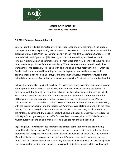

# **OFFICE OF STUDENT LIFE Yimaj Baharun, Vice-President**

### **Fall 2021 Plans and Accomplishments**

Coming into the Fall 2021 semester after a full school-year of online learning left the Student Life department with a specifically relevant need to revive Dawson student life activities and the presence of DSU clubs. With this in mind, along with the President (Alexandrah Cardona), VP of Internal Affairs and Operations (Abril Meza), and VP of Sustainability and Services (Shirin Hinojosa Violante), planning commenced for a Frosh Week that would consist of a club fair and other welcoming activities for the student body. While the events went generally well, they were hard for me personally to keep up with as, having had my full first year online, I wasn't as familiar with the school and how things worked (in regards to work orders, where to find departments I might need eg. Security) as other executives were. Something favourable that helped the experience of organising events was working with CLL (Campus Life and Leadership).

In face of my unfamiliarity with the college, CLL aided me greatly in getting accustomed to what was disposable to me and what would work best in terms of event planning. By the end of December, with the help of the volunteer network that Meza had formed during Frosh Week, Meza and I assembled the CEOC, the Campus Events and Operations Committee. With the CEOC, we were able to organise a Halloween Week, Stress-Free Days, and a Geek Week in collaboration with CLL in addition to the Welcome Week, Frosh Week, Climate March (working with the Green Earth Club), and the Indigenous Awareness Week (planned along with the Peace Centre, CLL, and others) that were made before the CEOC. Furthermore, in collaboration with the Athletics department, the Division I Basketball double-header on December 3 was labelled 'DSU Night,' and I got to organise a raffle for attendees. However, due to CEOC dysfunction, a Multicultural Week and an end-of-semester Yule Ball did not end up happening.

Regarding clubs, my inexperience regarding the campus came into play once again: being unfamiliar with the heritage of DSU clubs and club spaces meant that I had to adjust to plenty; moreover, the club spaces were unavailable after having been left abruptly since the pandemic. My unfamiliarity came into play during my first All-Clubs Meeting, which took place on my fourth time on Dawson campus and a relatively early stage in my mandate, as I was facing many club concerns for the first time. However, I was able to adjust and support clubs in adjusting to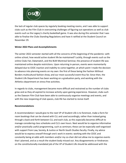

the lack of regular club spaces by regularly booking meeting rooms, and I was able to support clubs such as the Film Club in overcoming challenges of figuring out operations as well as club events such as the Legacy's charity basketball game. It was also during this semester that I was able to finalise the Clubs Standing Regulations and have it ratified at the Student Council on November 29.

### **Winter 2022 Plans and Accomplishments**

The winter 2022 semester started with all the concerns of the beginning of the pandemic: with online school, how would active student life be maintained? Luckily, through events such as the online Clubs Fair, Datamatch, and the BLM Montreal Seminar, the presence of student life was maintained online despite restrictions. Upon returning in-person, events were momentarily delayed due to CEOC inaction and inability to come together, at which point I made the decision to advance into planning events on my own: the first of these being the Fashion Without Borders multicultural fashion show, and our most successful event thus far. Since then, the Student Life Department has been working on a graduation party, and working with the Athletics department on stress-free activities.

In regards to clubs, management became more difficult and restrained as the number of clubs grew and as they all aspired to increase activity upon gaining experience. However, clubs such as the Dawson Film Club have been able to continuously organise meetings and events, and with the new reopening of club spaces, club life has started to revive itself.

### **Recommendations**

A recommendation I would give to the next VP of Student Life is to foremost, make a form for room bookings that can be shared with CLL and used accordingly, rather than instead going through a back-and-forth between CLL and each club, as this especially becomes difficult to manage considering class schedules and CLL's own hours. Next would be to organise informative and/or practically useful programming, such as seminars; these can be especially well-organised with support from Law, Society, & Justice or North-South Studies faculty. Finally, my advice would be to express oneself through one's work in events: working with the CEOC and constantly being at odds with members and/or my co-chair did not allow me to organise events that I planned, and as a result the student body missed out. Any disagreements or hindrances on the constitutionally-mandated job of the VP of Student Life should be addressed with the